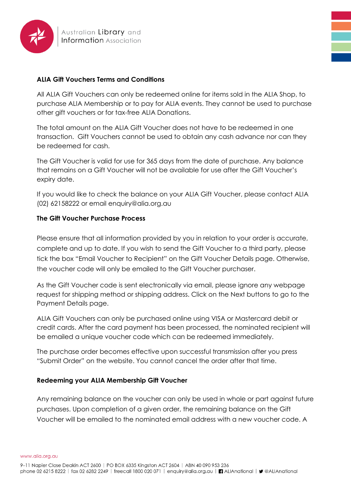

## **ALIA Gift Vouchers Terms and Conditions**

All ALIA Gift Vouchers can only be redeemed online for items sold in the ALIA Shop, to purchase ALIA Membership or to pay for ALIA events. They cannot be used to purchase other gift vouchers or for tax-free ALIA Donations.

The total amount on the ALIA Gift Voucher does not have to be redeemed in one transaction. Gift Vouchers cannot be used to obtain any cash advance nor can they be redeemed for cash.

The Gift Voucher is valid for use for 365 days from the date of purchase. Any balance that remains on a Gift Voucher will not be available for use after the Gift Voucher's expiry date.

If you would like to check the balance on your ALIA Gift Voucher, please contact ALIA (02) 62158222 or email enquiry@alia.org.au

## **The Gift Voucher Purchase Process**

Please ensure that all information provided by you in relation to your order is accurate, complete and up to date. If you wish to send the Gift Voucher to a third party, please tick the box "Email Voucher to Recipient" on the Gift Voucher Details page. Otherwise, the voucher code will only be emailed to the Gift Voucher purchaser.

As the Gift Voucher code is sent electronically via email, please ignore any webpage request for shipping method or shipping address. Click on the Next buttons to go to the Payment Details page.

ALIA Gift Vouchers can only be purchased online using VISA or Mastercard debit or credit cards. After the card payment has been processed, the nominated recipient will be emailed a unique voucher code which can be redeemed immediately.

The purchase order becomes effective upon successful transmission after you press "Submit Order" on the website. You cannot cancel the order after that time.

## **Redeeming your ALIA Membership Gift Voucher**

Any remaining balance on the voucher can only be used in whole or part against future purchases. Upon completion of a given order, the remaining balance on the Gift Voucher will be emailed to the nominated email address with a new voucher code. A

www.alia.org.au

9-11 Napier Close Deakin ACT 2600 | PO BOX 6335 Kingston ACT 2604 | ABN 40 090 953 236 phone 02 6215 8222 | fax 02 6282 2249 | freecall 1800 020 071 | enquiry@alia.org.au | ■ ALIAnational | ♥ @ALIAnational